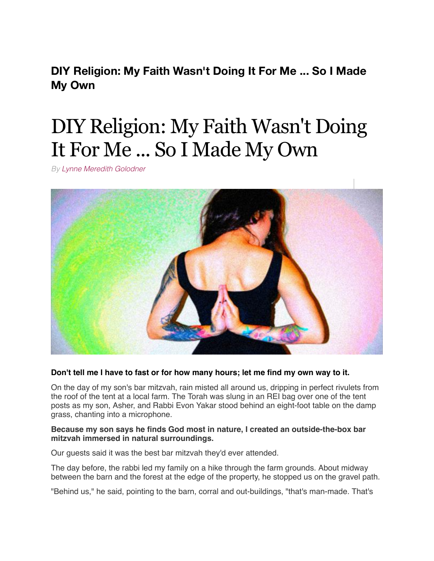**DIY Religion: My Faith Wasn't Doing It For Me ... So I Made My Own**

# DIY Religion: My Faith Wasn't Doing It For Me ... So I Made My Own

*By [Lynne Meredith Golodner](http://www.yourtango.com/users/lynne-meredith-golodner)*



# **Don't tell me I have to fast or for how many hours; let me find my own way to it.**

On the day of my son's bar mitzvah, rain misted all around us, dripping in perfect rivulets from the roof of the tent at a local farm. The Torah was slung in an REI bag over one of the tent posts as my son, Asher, and Rabbi Evon Yakar stood behind an eight-foot table on the damp grass, chanting into a microphone.

## **Because my son says he finds God most in nature, I created an outside-the-box bar mitzvah immersed in natural surroundings.**

Our guests said it was the best bar mitzvah they'd ever attended.

The day before, the rabbi led my family on a hike through the farm grounds. About midway between the barn and the forest at the edge of the property, he stopped us on the gravel path.

"Behind us," he said, pointing to the barn, corral and out-buildings, "that's man-made. That's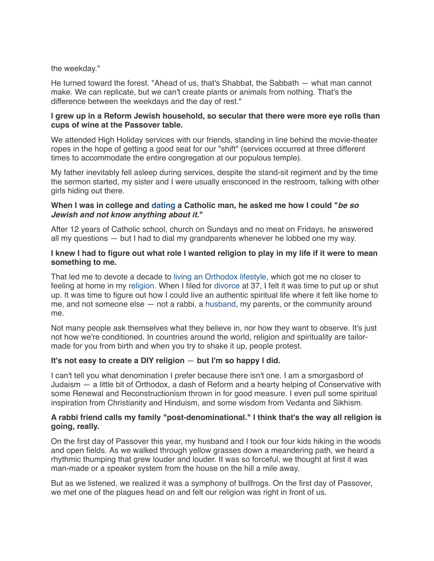#### the weekday."

He turned toward the forest. "Ahead of us, that's Shabbat, the Sabbath — what man cannot make. We can replicate, but we can't create plants or animals from nothing. That's the difference between the weekdays and the day of rest."

## **I grew up in a Reform Jewish household, so secular that there were more eye rolls than cups of wine at the Passover table.**

We attended High Holiday services with our friends, standing in line behind the movie-theater ropes in the hope of getting a good seat for our "shift" (services occurred at three different times to accommodate the entire congregation at our populous temple).

My father inevitably fell asleep during services, despite the stand-sit regiment and by the time the sermon started, my sister and I were usually ensconced in the restroom, talking with other girls hiding out there.

## **When I was in college and [dating](http://www.yourtango.com/dating) a Catholic man, he asked me how I could "***be so Jewish and not know anything about it.***"**

After 12 years of Catholic school, church on Sundays and no meat on Fridays, he answered all my questions — but I had to dial my grandparents whenever he lobbed one my way.

#### **I knew I had to figure out what role I wanted religion to play in my life if it were to mean something to me.**

That led me to devote a decade to [living an Orthodox lifestyle,](http://www.yourtango.com/200623/forbidden-desires) which got me no closer to feeling at home in my [religion.](http://www.yourtango.com/religion) When I filed for [divorce](http://www.yourtango.com/breakups-and-divorce) at 37, I felt it was time to put up or shut up. It was time to figure out how I could live an authentic spiritual life where it felt like home to me, and not someone else — not a rabbi, a [husband,](http://www.yourtango.com/2013197121/marriage-i-put-my-husband-my-child) my parents, or the community around me.

Not many people ask themselves what they believe in, nor how they want to observe. It's just not how we're conditioned. In countries around the world, religion and spirituality are tailormade for you from birth and when you try to shake it up, people protest.

#### **It's not easy to create a DIY religion** — **but I'm so happy I did.**

I can't tell you what denomination I prefer because there isn't one. I am a smorgasbord of Judaism — a little bit of Orthodox, a dash of Reform and a hearty helping of Conservative with some Renewal and Reconstructionism thrown in for good measure. I even pull some spiritual inspiration from Christianity and Hinduism, and some wisdom from Vedanta and Sikhism.

## **A rabbi friend calls my family "post-denominational." I think that's the way all religion is going, really.**

On the first day of Passover this year, my husband and I took our four kids hiking in the woods and open fields. As we walked through yellow grasses down a meandering path, we heard a rhythmic thumping that grew louder and louder. It was so forceful, we thought at first it was man-made or a speaker system from the house on the hill a mile away.

But as we listened, we realized it was a symphony of bullfrogs. On the first day of Passover, we met one of the plagues head on and felt our religion was right in front of us.